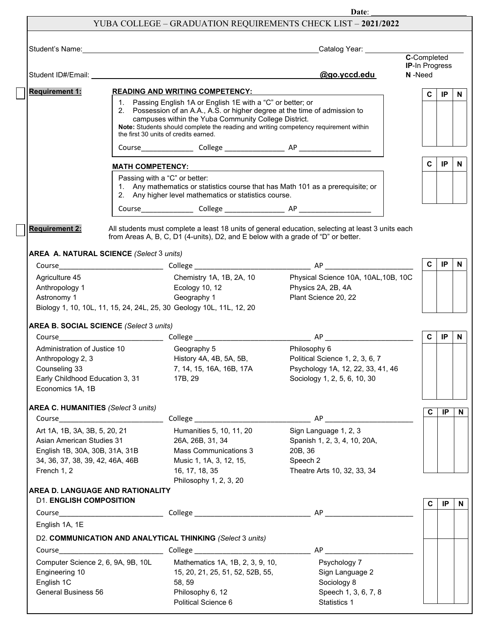|                                                                                                                                                 |  |                                                                                                                                                                                                                                                                                                                                      | Date:                                                                                                                |                                              |           |              |
|-------------------------------------------------------------------------------------------------------------------------------------------------|--|--------------------------------------------------------------------------------------------------------------------------------------------------------------------------------------------------------------------------------------------------------------------------------------------------------------------------------------|----------------------------------------------------------------------------------------------------------------------|----------------------------------------------|-----------|--------------|
|                                                                                                                                                 |  | YUBA COLLEGE – GRADUATION REQUIREMENTS CHECK LIST – 2021/2022                                                                                                                                                                                                                                                                        |                                                                                                                      |                                              |           |              |
|                                                                                                                                                 |  |                                                                                                                                                                                                                                                                                                                                      |                                                                                                                      | <b>C</b> -Completed<br><b>IP-In Progress</b> |           |              |
|                                                                                                                                                 |  | @go.yccd.edu<br>Student ID#/Email: <u>Alexander Alexander Alexander Alexander Alexander Alexander Alexander Alexander Alexander</u><br>N-Need                                                                                                                                                                                        |                                                                                                                      |                                              |           |              |
| <b>Requirement 1:</b>                                                                                                                           |  | <b>READING AND WRITING COMPETENCY:</b>                                                                                                                                                                                                                                                                                               |                                                                                                                      | C                                            | IP        | $\mathbf N$  |
|                                                                                                                                                 |  | 1. Passing English 1A or English 1E with a "C" or better; or<br>2. Possession of an A.A., A.S. or higher degree at the time of admission to<br>campuses within the Yuba Community College District.<br>Note: Students should complete the reading and writing competency requirement within<br>the first 30 units of credits earned. |                                                                                                                      |                                              |           |              |
|                                                                                                                                                 |  |                                                                                                                                                                                                                                                                                                                                      |                                                                                                                      |                                              |           |              |
| <b>MATH COMPETENCY:</b>                                                                                                                         |  |                                                                                                                                                                                                                                                                                                                                      |                                                                                                                      | $\mathbf c$                                  | IP        | $\mathsf{N}$ |
|                                                                                                                                                 |  | Passing with a "C" or better:<br>1. Any mathematics or statistics course that has Math 101 as a prerequisite; or<br>2. Any higher level mathematics or statistics course.                                                                                                                                                            |                                                                                                                      |                                              |           |              |
|                                                                                                                                                 |  |                                                                                                                                                                                                                                                                                                                                      |                                                                                                                      |                                              |           |              |
| <b>Requirement 2:</b><br>AREA A. NATURAL SCIENCE (Select 3 units)                                                                               |  | from Areas A, B, C, D1 (4-units), D2, and E below with a grade of "D" or better.                                                                                                                                                                                                                                                     | All students must complete a least 18 units of general education, selecting at least 3 units each                    |                                              |           |              |
|                                                                                                                                                 |  |                                                                                                                                                                                                                                                                                                                                      |                                                                                                                      | $\mathbf{C}$                                 | IP        | $\mathbf N$  |
| Agriculture 45<br>Anthropology 1<br>Astronomy 1                                                                                                 |  | Chemistry 1A, 1B, 2A, 10<br>Ecology 10, 12<br>Geography 1<br>Biology 1, 10, 10L, 11, 15, 24, 24L, 25, 30 Geology 10L, 11L, 12, 20                                                                                                                                                                                                    | Physical Science 10A, 10AL, 10B, 10C<br>Physics 2A, 2B, 4A<br>Plant Science 20, 22                                   |                                              |           |              |
|                                                                                                                                                 |  |                                                                                                                                                                                                                                                                                                                                      |                                                                                                                      |                                              |           |              |
| AREA B. SOCIAL SCIENCE (Select 3 units)                                                                                                         |  |                                                                                                                                                                                                                                                                                                                                      |                                                                                                                      | $\mathbf{C}$                                 | IP        | $\mathbf N$  |
| Administration of Justice 10<br>Anthropology 2, 3<br>Counseling 33<br>Early Childhood Education 3, 31<br>Economics 1A, 1B                       |  | Geography 5<br>History 4A, 4B, 5A, 5B,<br>7, 14, 15, 16A, 16B, 17A<br>17B, 29                                                                                                                                                                                                                                                        | Philosophy 6<br>Political Science 1, 2, 3, 6, 7<br>Psychology 1A, 12, 22, 33, 41, 46<br>Sociology 1, 2, 5, 6, 10, 30 |                                              |           |              |
| <b>AREA C. HUMANITIES (Select 3 units)</b>                                                                                                      |  |                                                                                                                                                                                                                                                                                                                                      |                                                                                                                      |                                              |           |              |
|                                                                                                                                                 |  |                                                                                                                                                                                                                                                                                                                                      |                                                                                                                      | $\mathbf{c}$                                 | IP        | $\mathbf N$  |
| Art 1A, 1B, 3A, 3B, 5, 20, 21<br>Asian American Studies 31<br>English 1B, 30A, 30B, 31A, 31B<br>34, 36, 37, 38, 39, 42, 46A, 46B<br>French 1, 2 |  | Humanities 5, 10, 11, 20<br>26A, 26B, 31, 34<br><b>Mass Communications 3</b><br>Music 1, 1A, 3, 12, 15,<br>16, 17, 18, 35<br>Philosophy 1, 2, 3, 20                                                                                                                                                                                  | Sign Language 1, 2, 3<br>Spanish 1, 2, 3, 4, 10, 20A,<br>20B, 36<br>Speech 2<br>Theatre Arts 10, 32, 33, 34          |                                              |           |              |
| AREA D. LANGUAGE AND RATIONALITY<br><b>D1. ENGLISH COMPOSITION</b>                                                                              |  |                                                                                                                                                                                                                                                                                                                                      |                                                                                                                      | C                                            | <b>IP</b> |              |
|                                                                                                                                                 |  |                                                                                                                                                                                                                                                                                                                                      |                                                                                                                      |                                              |           | N.           |
| English 1A, 1E                                                                                                                                  |  |                                                                                                                                                                                                                                                                                                                                      |                                                                                                                      |                                              |           |              |
|                                                                                                                                                 |  | D2. COMMUNICATION AND ANALYTICAL THINKING (Select 3 units)                                                                                                                                                                                                                                                                           |                                                                                                                      |                                              |           |              |
|                                                                                                                                                 |  |                                                                                                                                                                                                                                                                                                                                      |                                                                                                                      |                                              |           |              |
| Engineering 10<br>English 1C                                                                                                                    |  | Computer Science 2, 6, 9A, 9B, 10L Mathematics 1A, 1B, 2, 3, 9, 10,<br>15, 20, 21, 25, 51, 52, 52B, 55,<br>58, 59                                                                                                                                                                                                                    | Psychology 7<br>Sign Language 2<br>Sociology 8                                                                       |                                              |           |              |
| General Business 56                                                                                                                             |  | Philosophy 6, 12<br>Political Science 6                                                                                                                                                                                                                                                                                              | Speech 1, 3, 6, 7, 8<br>Statistics 1                                                                                 |                                              |           |              |